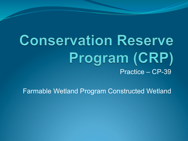# **Conservation Reserve** Program (CRP) Practice – CP-39

Farmable Wetland Program Constructed Wetland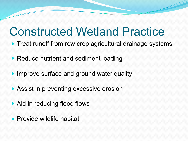## Constructed Wetland Practice

- Treat runoff from row crop agricultural drainage systems
- Reduce nutrient and sediment loading
- Improve surface and ground water quality
- Assist in preventing excessive erosion
- Aid in reducing flood flows
- Provide wildlife habitat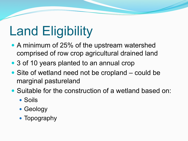# Land Eligibility

- A minimum of 25% of the upstream watershed comprised of row crop agricultural drained land
- 3 of 10 years planted to an annual crop
- Site of wetland need not be cropland could be marginal pastureland
- ! Suitable for the construction of a wetland based on:
	- Soils
	- Geology
	- Topography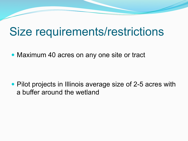## Size requirements/restrictions

• Maximum 40 acres on any one site or tract

• Pilot projects in Illinois average size of 2-5 acres with a buffer around the wetland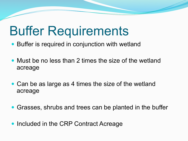# Buffer Requirements

- Buffer is required in conjunction with wetland
- Must be no less than 2 times the size of the wetland acreage
- Can be as large as 4 times the size of the wetland acreage
- ! Grasses, shrubs and trees can be planted in the buffer
- Included in the CRP Contract Acreage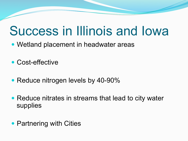# Success in Illinois and Iowa

- Wetland placement in headwater areas
- Cost-effective
- Reduce nitrogen levels by 40-90%
- Reduce nitrates in streams that lead to city water supplies
- Partnering with Cities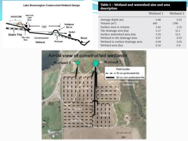



#### Table 1 - Wetland and watershed size and area description

|                                  | Wetland 1 | Wetland 2 |
|----------------------------------|-----------|-----------|
| Average depth (m):               | 0.48      | 0.52      |
| Volume (m <sup>3</sup> )         | 660       | 1780      |
| Surface area to volume           | 2.42      | 2.25      |
| Tile drainage area (ha)          | 2.17      | 12.1      |
| Surface watershed area (ha)      | 3.76      | 12.3      |
| Wetland to tile drainage area    | 0.07      | 0.03      |
| Wetland to surface drainage area | 0.04      | 0.03      |
| Wetland area (ha)                | 0.16      | 0.4       |
|                                  |           |           |

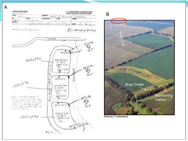



**Photo by T. Lindenbaum** 

B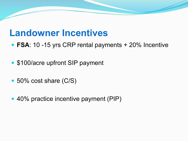### **Landowner Incentives**

- ! **FSA**: 10 -15 yrs CRP rental payments + 20% Incentive
- \$100/acre upfront SIP payment
- 50% cost share (C/S)
- 40% practice incentive payment (PIP)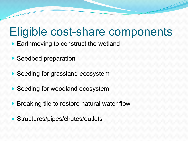## Eligible cost-share components

- Earthmoving to construct the wetland
- Seedbed preparation
- Seeding for grassland ecosystem
- Seeding for woodland ecosystem
- Breaking tile to restore natural water flow
- Structures/pipes/chutes/outlets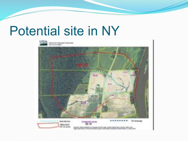# Potential site in NY

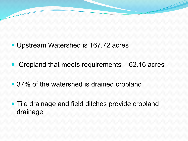

- Cropland that meets requirements 62.16 acres
- 37% of the watershed is drained cropland
- Tile drainage and field ditches provide cropland drainage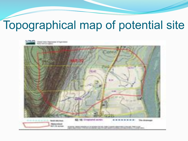# Topographical map of potential site

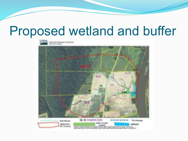# Proposed wetland and buffer



come of Automotive